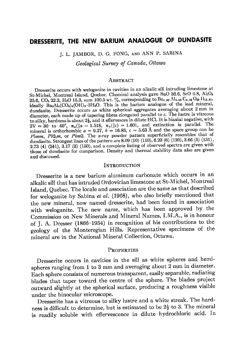# DRESSERITE, THE NEW BARIUM ANALOGUE OF DUNDASITE

J. L. JAMBOR, D. G. FONG, AND ANN P. SABINA

Geological Survey of Canada, Ottawa

#### ABSTRACT

Dresserite occurs with weloganite in cavities in an alkalic sill intruding limestone at St-Michel, Montreal Island, Quebec. Chemical analysis gave BaO 36.6, SrO 0.8, Al2O3 25.6, CO<sub>2</sub> 22.2, H<sub>2</sub>O 15.3, sum 100.5 wt. %, corresponding to Ba<sub>1.98</sub> Al<sub>4.06</sub> C<sub>4.06</sub> O<sub>23</sub> H<sub>13.67</sub>, ideally Ba2Al4(CO3)4(OH)8 3H2O. This is the barium analogue of the lead mineral, dundasite. Dresserite occurs as white spherical aggregates averaging about 2 mm in diameter, each made up of tapering fibres elongated parallel to c. The lustre is vitreous to silky, hardness is about  $2\frac{1}{2}$ , and it effervesces in dilute HCl. It is biaxial negative, with  $2V \approx 30$  to  $40^{\circ}$ ,  $n_{\alpha}(\parallel a = 1.518, n_{\gamma}(\parallel c) = 1.601$ , and extinction is parallel. The mineral is orthorhombic  $a = 9.27$ ,  $b = 16.83$ ,  $c = 5.63$  Å and the space group can be Pomm,  $Pb2_1m$ , or Pbm2. The x-ray powder pattern superficially resembles that of dundasite. Strongest lines of the pattern are 8.09 (10) (110), 6.23 (6) (120), 3.66 (5) (131),  $2.73$  (4) (241),  $3.\overline{17}$  (3) (150), and a complete listing of observed spectra are given with those of dundasite for comparison. Density and thermal stability data also are given and discussed.

### **INTRODUCTION**

Dresserite is a new barium aluminum carbonate which occurs in an alkalic sill that has intruded Ordovician limestone at St-Michel. Montreal Island, Quebec. The locale and association are the same as that described for weloganite by Sabina et al. (1968), who also briefly mentioned that the new mineral, now named dresserite, had been found in association with weloganite. The new name, which has been approved by the Commission on New Minerals and Mineral Names, I.M.A., is in honour of J. A. Dresser (1866-1954) in recognition of his contributions to the geology of the Monteregian Hills. Representative specimens of the mineral are in the National Mineral Collection. Ottawa.

#### **PROPERTIES**

Dresserite occurs in cavities in the sill as white spheres and hemispheres ranging from 1 to 3 mm and averaging about 2 mm in diameter. Each sphere consists of numerous transparent, easily separable, radiating blades that taper toward the centre of the sphere. The blades project outward slightly at the spherical surface, producing a roughness visible under the binocular microscope.

Dresserite has a vitreous to silky lustre and a white streak. The hardness is difficult to determine, but is estimated to be  $2\frac{1}{2}$  to 3. The mineral is readily soluble with effervescence in dilute hydrochloric acid. In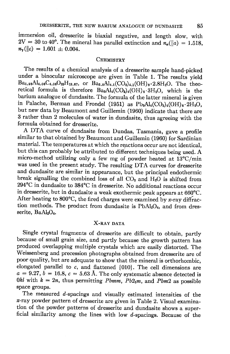immersion oil, dresserite is biaxial negative, and length slow, with  $2V \approx 30$  to 40<sup>o</sup>. The mineral has parallel extinction and  $n_{\alpha}(\parallel a) = 1.518$ ,  $n_{\gamma}(\rvert c)=1.601 \pm 0.004.$ 

# CHEMISTRY

The results of a chemical analysis of a dresserite sample hand-picked under a binocular microscope are given in Table 1. The results yield  $Ba<sub>1.98</sub>Al<sub>4.06</sub>C<sub>4.06</sub>O<sub>28</sub>H<sub>18.67</sub>$ , or  $Ba<sub>2.0</sub>Al<sub>4.1</sub>(CO<sub>8</sub>)<sub>4.1</sub>(OH)<sub>8</sub>·2.8H<sub>2</sub>O$ . The theoretical formula is therefore  $Ba<sub>2</sub>Al<sub>4</sub>(CO<sub>8</sub>)<sub>4</sub>(OH)<sub>8</sub>·3H<sub>2</sub>O$ , which is the barium analogue of dundasite. The formula of the latter mineral is given in Palache, Berman and Frondel (1951) as  $Pb_2Al_4(CO_8)_4(OH)_8.2H_2O$ , but new data by Beaumont and Guillemin (1g60) indicate that there are 3 rather than 2 molecules of water in dundasite, thus agreeing with the formula obtained for dresserite.

A DTA curve of dundasite from Dundas, Tasmania, gave a profile similar to that obtained by Beaumont and Guillemin (1960) for Sardinian material. The temperatures at which the reactions occur are not identical, but this can probably be attributed to different techniques being used. A micro-method utilizing only a few mg of powder heated at  $13^{\circ}C/min$ was used in the present study. The resulting DTA curyes for dresserite and dundasite are similar in appearance, but the principal endothermic break signalling the combined loss of all  $CO<sub>2</sub>$  and  $H<sub>2</sub>O$  is shifted from 294°C in dundasite to 384°C in dresserite. No additional reactions occur in dresserite, but in dundasite a weak exothermic peak appears at 660°C. After heating to 800°C, the fired charges were examined by x-ray diffraction methods. The product from dundasite is PbAl<sub>2</sub>O<sub>4</sub>, and from dresserite, BaAl<sub>2</sub>O<sub>4</sub>.

# X-RAY DATA

Single crystal fragments of dresserite are difficult to obtain, partly because of small grain size, and partly because the growth pattern has produced overlapping multiple crystals which are easily distorted. The weissenberg and precession photographs obtained from dresserite are of poor quality, but are adequate to show that the mineral is orthorhombic, elongated parallel to  $c$ , and flattened  $\{010\}$ . The cell dimensions are  $a = 9.27$ ,  $b = 16.8$ ,  $c = 5.63$  Å. The only systematic absence detected is 0kl with  $k = 2n$ , thus permitting Pbmm, Pb2<sub>1</sub>m, and Pbm2 as possible space groups.

The measured d-spacings and visually estimated intensities of the r-ray powder pattern of dresserite are given in Table 2. Visual examination of the powder patterns of dresserite and dundasite shows a superficial similarity among the lines with low  $d$ -spacings. Because of the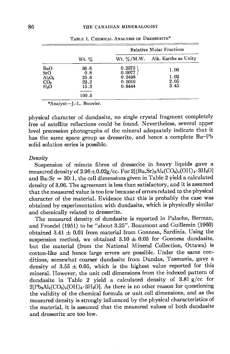|                                                                     | Wt. %                               | <b>Relative Molar Fractions</b>                |                              |  |  |
|---------------------------------------------------------------------|-------------------------------------|------------------------------------------------|------------------------------|--|--|
|                                                                     |                                     | Wt. $\%$ /M.W.                                 | Alk. Earths as Unity         |  |  |
| BaO<br>SrO<br>$\frac{\text{Al}_2\text{O}_3}{\text{CO}_2}$<br>$H_2O$ | 36.6<br>0.8<br>25.6<br>22.2<br>15.3 | 0.2375<br>0.0077<br>0.2498<br>0.5019<br>0.8444 | 1.00<br>1.02<br>2.05<br>3.45 |  |  |
|                                                                     | 100.5                               |                                                |                              |  |  |

TABLE 1. CHEMICAL ANALYSIS OF DRESSERITE\*

\*Analyst-J.-L. Bouvier.

physical character of dundasite, no single crystal fragment completely free of satellite reflections could be found. Nevertheless, several upper level precession photographs of the mineral adequately indicate that it has the same space group as dresserite, and hence a complete Ba-Pb solid solution series is possible.

#### Density

Suspension of minute fibres of dresserite in heavy liquids gave a measured density of  $2.96\pm0.02g/cc$ . For  $2[(Ba, Sr)_2Al_4(CO_3)_4(OH)_8 \cdot 3H_2O]$ and  $Ba:Sr = 30:1$ , the cell dimensions given in Table 2 yield a calculated density of 3.06. The agreement is less than satisfactory, and it is assumed that the measured value is too low because of errors related to the physical character of the material. Evidence that this is probably the case was obtained by experimentation with dundasite, which is physically similar and chemically related to dresserite.

The measured density of dundasite is reported in Palache, Berman, and Frondel (1951) to be "about 3.25". Beaumont and Guillemin (1960) obtained  $3.41 \pm 0.01$  from material from Gonnesa, Sardinia. Using the suspension method, we obtained  $3.10 \pm 0.05$  for Gonnesa dundasite, but the material (from the National Mineral Collection, Ottawa) is cotton-like and hence large errors are possible. Under the same conditions, somewhat coarser dundasite from Dundas, Tasmania, gave a density of  $3.55 \pm 0.05$ , which is the highest value reported for this mineral. However. the unit cell dimensions from the indexed pattern of dundasite in Table 2 yield a calculated density of 3.81 g/cc for  $2[Pb_2Al_4(CO_3)_4(OH)_8.3H_2O]$ . As there is no other reason for questioning the validity of the chemical formula or unit cell dimensions, and as the measured density is strongly influenced by the physical characteristics of the material, it is assumed that the measured values of both dundasite and dresserite are too low.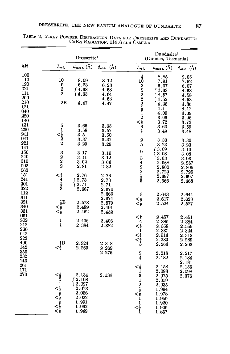|                                                                    | Dresserite <sup>1</sup>                                                                              |                                                                                                              |                                                                | Dundasite <sup>2</sup><br>(Dundas, Tasmania)                                                                                  |                                                                                            |                                                                      |
|--------------------------------------------------------------------|------------------------------------------------------------------------------------------------------|--------------------------------------------------------------------------------------------------------------|----------------------------------------------------------------|-------------------------------------------------------------------------------------------------------------------------------|--------------------------------------------------------------------------------------------|----------------------------------------------------------------------|
| hkl                                                                | $I_{est.}$                                                                                           | $d_{meas.}$ (Å)                                                                                              | $d_{calc.}$ (Å)                                                | $I_{\mathit{est.}}$                                                                                                           | $d_{meas.}$ (Å)                                                                            | $d_{calc.}$ (Å)                                                      |
| 100<br>110<br>120<br>021<br>111<br>200<br>210<br>121<br>040<br>220 | 10<br>6<br>$\frac{3}{2}$<br>2B                                                                       | 8.09<br>6.23<br>∫ 4.68<br>l 4.63<br>4.47                                                                     | 8.12<br>6.23<br>4.68<br>4.64<br>4.63<br>4.47                   | $\begin{smallmatrix} \frac{1}{2} \ 10 \end{smallmatrix}$<br>$\n\leq 35222$                                                    | 8.85<br>7.91<br>6.07<br>4.63<br>4.57<br>4.52<br>4.36<br>4.11<br>4.09                       | 9.05<br>7.92<br>6.07<br>4.63<br>4.58<br>4.53<br>4.36<br>4.12<br>4.09 |
| 140<br>131<br>230<br>211<br>041<br>221                             | 5<br>$\mathbf 1$<br>$<\frac{1}{2}$<br>2<br>2                                                         | 3.66<br>3.58<br>$\bf 3.5$<br>3.37<br>3.29                                                                    | $_{3.65}$<br>3.57<br>3.50<br>3.37<br>3.29                      | $\frac{2}{5}$                                                                                                                 | 3.96<br>3.72<br>3.60<br>3.49<br>3.30<br>3.23                                               | 3.96<br>3.73<br>3.59<br>$3.48\,$<br>3.30<br>3.23                     |
| 141<br>150<br>240<br>310<br>002<br>060<br>151                      | $\frac{3}{2}$                                                                                        | 3.17<br>3.11<br>3.02<br>2.81<br>2.76                                                                         | 3.16<br>3.12<br>3.04<br>2.82                                   | 6<br>$3422$<br>$2\frac{1}{2}5$                                                                                                | ∫ 3.09<br>ો 3.08<br>3.03<br>2.968<br>2.800<br>2.729                                        | 3.10<br>3.08<br>3.03<br>$\phantom{-}2.967$<br>2.805<br>2.725         |
| 241<br>301<br>022<br>112<br>311<br>321<br>340                      | $<\frac{1}{2}$<br>$\frac{1}{2}$<br>$\frac{1}{2}$<br>$\frac{1}{2}$<br>$\frac{1}{3}$<br>$\frac{1}{2}B$ | ∫ 2.73<br>(2.71<br>2.667<br>2.578                                                                            | 2.76<br>$\bf 2.73$<br>2.71<br>2.670<br>2.660<br>2.674<br>2.579 | $\boldsymbol{4}$<br>$\lesssim^{\frac{1}{2}}_{\frac{1}{2}}$                                                                    | 2.697<br>2.666<br>2.643<br>2.617<br>2.524                                                  | 2.697<br>2.668<br>2.644<br>2.623<br>2.527                            |
| 331<br>061<br>202<br>212<br>260<br>042<br>222<br>400               | $\lesssim^\frac{1}{2}_{\frac{1}{2}}$<br>1<br>1<br>$\frac{1}{2}B$                                     | 2.489<br>2.452<br>2.406<br>2.384<br>2.324                                                                    | 2.491<br>2.452<br>2.406<br>2.382<br>2.318                      |                                                                                                                               | 2.457<br>2.385<br>2.358<br>2.337<br>2.314<br>2.289<br>2.264                                | 2.451<br>2.384<br>2.359<br>2.334<br>2.313<br>2.289<br>2.263          |
| 142<br>350<br>232<br>140<br>261                                    | $<\frac{1}{2}$                                                                                       | 2.269                                                                                                        | 2.269<br>2.276                                                 | $\frac{2}{2}$                                                                                                                 | 2.218<br>2.182<br>2.158                                                                    | 2.217<br>2.184<br>2.181<br>2.155                                     |
| 171<br>$_{\rm 270}$                                                |                                                                                                      | 2.134<br>$\sqrt{2.108}$<br>$\mid 2.097$<br>$\boldsymbol{2.073}$<br>2.056<br>2.022<br>1.991<br>1.962<br>1.949 | 2.134                                                          | $\leq$ $\frac{1}{2}$ $\frac{1}{3}$ $\frac{1}{2}$ $\frac{1}{2}$ $\frac{1}{2}$ $\frac{1}{2}$ $\frac{1}{2}$ $\leq$ $\leq$ $\leq$ | 2.098<br>2.075<br>2.059<br>2.035<br>1.994<br>1.978<br>1.956<br>1.920<br>$1.906\,$<br>1.867 | 2.098<br>2.076                                                       |

TABLE 2. X-RAY POWDER DIFFRACTION DATA FOR DRESSERITE AND DUNDASITE:<br>CuK $\alpha$  Radiation, 114.6 mm CAMERA  $\overline{\phantom{a}}$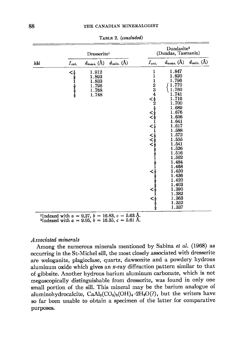|     |                          | Dresserite <sup>1</sup>                                                           |                 |                   | Dundasite <sup>2</sup><br>(Dundas, Tasmania)                                                                                                                                                                                                     |                 |  |
|-----|--------------------------|-----------------------------------------------------------------------------------|-----------------|-------------------|--------------------------------------------------------------------------------------------------------------------------------------------------------------------------------------------------------------------------------------------------|-----------------|--|
| hkl | $I_{est.}$               | $d_{meas.}$ (Å)                                                                   | $d_{calc.}$ (Å) | $I_{est.}$        | $d_{meas.}$ (Å)                                                                                                                                                                                                                                  | $d_{calc.}$ (Å) |  |
|     | <b>&lt;18181 1871818</b> | 1.912<br>1.893<br>$\begin{array}{c} 1.833 \\ 1.796 \\ 1.768 \end{array}$<br>1.748 |                 | 1<br>$\mathbf{1}$ | 1.847<br>1.820<br>1.796<br>1.770<br>1.760<br>1.741<br>1.716<br>1.700<br>1.689<br>1.676<br>1.656<br>1.641<br>$1.617$<br>$1.588$<br>$1.572$<br>$1.555$<br>$1.541$<br>1.526<br>1.516<br>1.502<br>1.484<br>1.468<br>1.450<br>1.436<br>1.420<br>1.403 |                 |  |
|     |                          |                                                                                   |                 |                   | 1.390<br>1.382<br>1.363<br>1.352<br>1.337                                                                                                                                                                                                        |                 |  |

TABLE 2. (concluded)

<sup>1</sup>Indexed with  $a = 9.27$ ,  $b = 16.83$ ,  $c = 5.63$  Å.<br><sup>2</sup>Indexed with  $a = 9.05$ ,  $b = 16.35$ ,  $c = 5.61$  Å.

## Associated minerals

Among the numerous minerals mentioned by Sabina et al. (1968) as occurring in the St-Michel sill, the most closely associated with dresserite are weloganite, plagioclase, quartz, dawsonite and a powdery hydrous aluminum oxide which gives an x-ray diffraction pattern similar to that of gibbsite. Another hydrous barium aluminum carbonate, which is not megascopically distinguishable from dresserite, was found in only one small portion of the sill. This mineral may be the barium analogue of aluminohydrocalcite,  $\text{CaAl}_{2}(\text{CO}_{3})_{2}(\text{OH})_{4} \cdot 2\text{H}_{2}\text{O}(?)$ , but the writers have so far been unable to obtain a specimen of the latter for comparative purposes.